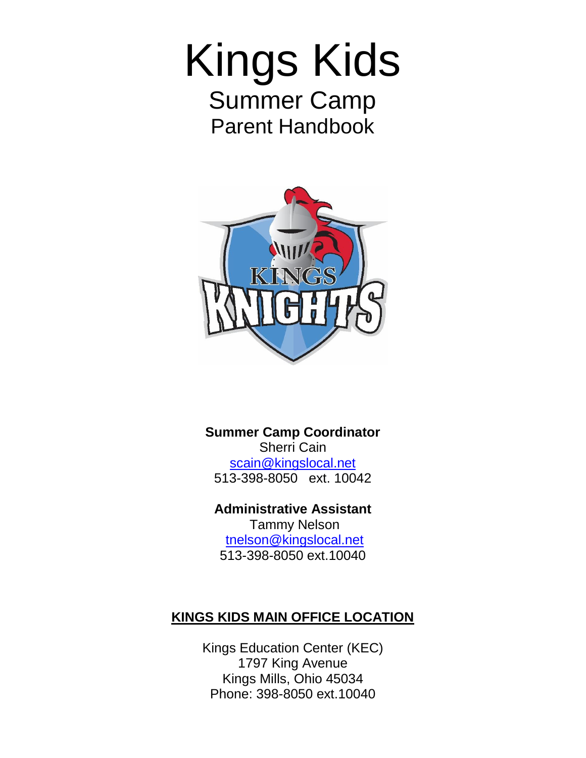# Kings Kids Summer Camp Parent Handbook



# **Summer Camp Coordinator** Sherri Cain [scain@kingslocal.net](mailto:scain@kingslocal.net) 513-398-8050 ext. 10042

**Administrative Assistant** Tammy Nelson [tnelson@kingslocal.net](mailto:tnelson@kingslocal.net) 513-398-8050 ext.10040

# **KINGS KIDS MAIN OFFICE LOCATION**

Kings Education Center (KEC) 1797 King Avenue Kings Mills, Ohio 45034 Phone: 398-8050 ext.10040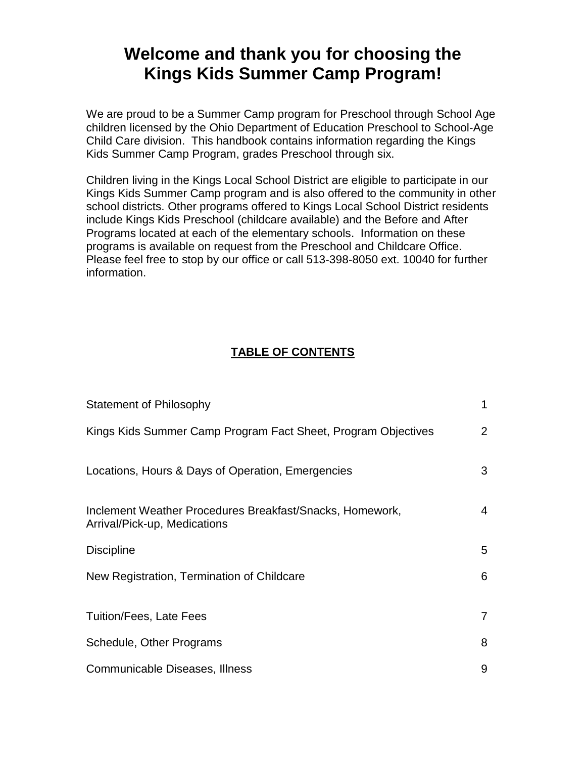# **Welcome and thank you for choosing the Kings Kids Summer Camp Program!**

We are proud to be a Summer Camp program for Preschool through School Age children licensed by the Ohio Department of Education Preschool to School-Age Child Care division. This handbook contains information regarding the Kings Kids Summer Camp Program, grades Preschool through six.

Children living in the Kings Local School District are eligible to participate in our Kings Kids Summer Camp program and is also offered to the community in other school districts. Other programs offered to Kings Local School District residents include Kings Kids Preschool (childcare available) and the Before and After Programs located at each of the elementary schools. Information on these programs is available on request from the Preschool and Childcare Office. Please feel free to stop by our office or call 513-398-8050 ext. 10040 for further information.

# **TABLE OF CONTENTS**

| <b>Statement of Philosophy</b>                                                           | $\mathbf{1}$   |
|------------------------------------------------------------------------------------------|----------------|
| Kings Kids Summer Camp Program Fact Sheet, Program Objectives                            | $\overline{2}$ |
| Locations, Hours & Days of Operation, Emergencies                                        | 3              |
| Inclement Weather Procedures Breakfast/Snacks, Homework,<br>Arrival/Pick-up, Medications | $\overline{4}$ |
| <b>Discipline</b>                                                                        | 5              |
| New Registration, Termination of Childcare                                               | 6              |
| <b>Tuition/Fees, Late Fees</b>                                                           | $\overline{7}$ |
| Schedule, Other Programs                                                                 | 8              |
| Communicable Diseases, Illness                                                           | 9              |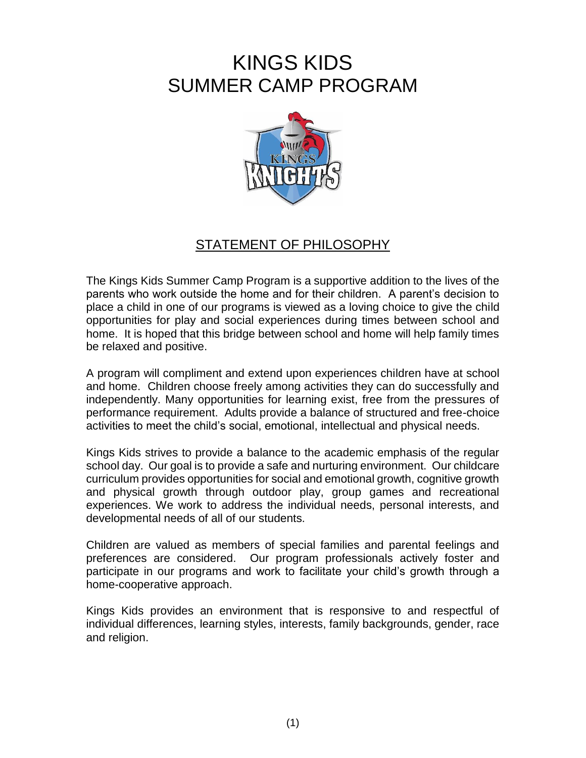# KINGS KIDS SUMMER CAMP PROGRAM



# STATEMENT OF PHILOSOPHY

The Kings Kids Summer Camp Program is a supportive addition to the lives of the parents who work outside the home and for their children. A parent's decision to place a child in one of our programs is viewed as a loving choice to give the child opportunities for play and social experiences during times between school and home. It is hoped that this bridge between school and home will help family times be relaxed and positive.

A program will compliment and extend upon experiences children have at school and home. Children choose freely among activities they can do successfully and independently. Many opportunities for learning exist, free from the pressures of performance requirement. Adults provide a balance of structured and free-choice activities to meet the child's social, emotional, intellectual and physical needs.

Kings Kids strives to provide a balance to the academic emphasis of the regular school day. Our goal is to provide a safe and nurturing environment. Our childcare curriculum provides opportunities for social and emotional growth, cognitive growth and physical growth through outdoor play, group games and recreational experiences. We work to address the individual needs, personal interests, and developmental needs of all of our students.

Children are valued as members of special families and parental feelings and preferences are considered. Our program professionals actively foster and participate in our programs and work to facilitate your child's growth through a home-cooperative approach.

Kings Kids provides an environment that is responsive to and respectful of individual differences, learning styles, interests, family backgrounds, gender, race and religion.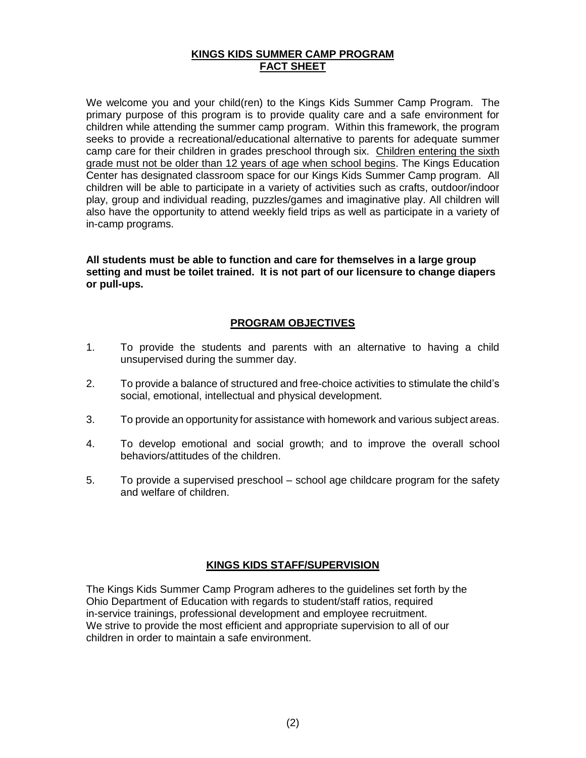#### **KINGS KIDS SUMMER CAMP PROGRAM FACT SHEET**

We welcome you and your child(ren) to the Kings Kids Summer Camp Program. The primary purpose of this program is to provide quality care and a safe environment for children while attending the summer camp program. Within this framework, the program seeks to provide a recreational/educational alternative to parents for adequate summer camp care for their children in grades preschool through six. Children entering the sixth grade must not be older than 12 years of age when school begins. The Kings Education Center has designated classroom space for our Kings Kids Summer Camp program. All children will be able to participate in a variety of activities such as crafts, outdoor/indoor play, group and individual reading, puzzles/games and imaginative play. All children will also have the opportunity to attend weekly field trips as well as participate in a variety of in-camp programs.

**All students must be able to function and care for themselves in a large group setting and must be toilet trained. It is not part of our licensure to change diapers or pull-ups.**

## **PROGRAM OBJECTIVES**

- 1. To provide the students and parents with an alternative to having a child unsupervised during the summer day.
- 2. To provide a balance of structured and free-choice activities to stimulate the child's social, emotional, intellectual and physical development.
- 3. To provide an opportunity for assistance with homework and various subject areas.
- 4. To develop emotional and social growth; and to improve the overall school behaviors/attitudes of the children.
- 5. To provide a supervised preschool school age childcare program for the safety and welfare of children.

#### **KINGS KIDS STAFF/SUPERVISION**

The Kings Kids Summer Camp Program adheres to the guidelines set forth by the Ohio Department of Education with regards to student/staff ratios, required in-service trainings, professional development and employee recruitment. We strive to provide the most efficient and appropriate supervision to all of our children in order to maintain a safe environment.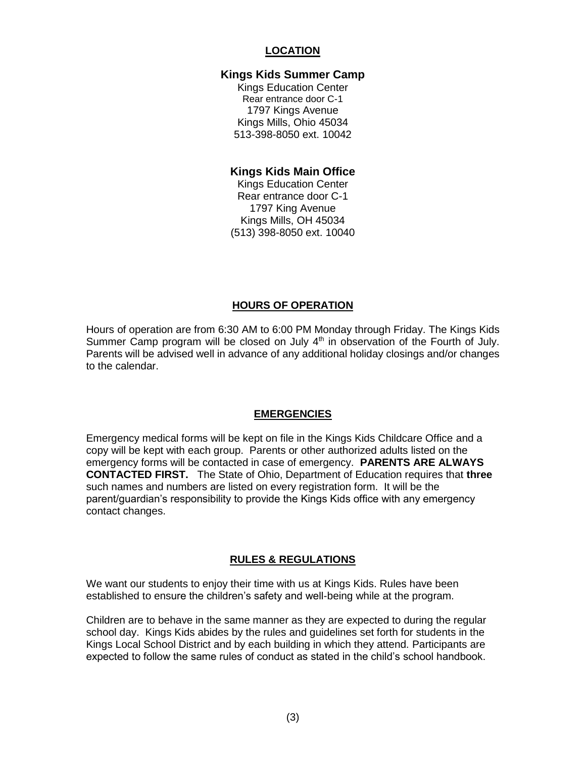## **LOCATION**

#### **Kings Kids Summer Camp**

Kings Education Center Rear entrance door C-1 1797 Kings Avenue Kings Mills, Ohio 45034 513-398-8050 ext. 10042

#### **Kings Kids Main Office**

Kings Education Center Rear entrance door C-1 1797 King Avenue Kings Mills, OH 45034 (513) 398-8050 ext. 10040

#### **HOURS OF OPERATION**

Hours of operation are from 6:30 AM to 6:00 PM Monday through Friday. The Kings Kids Summer Camp program will be closed on July  $4<sup>th</sup>$  in observation of the Fourth of July. Parents will be advised well in advance of any additional holiday closings and/or changes to the calendar.

#### **EMERGENCIES**

Emergency medical forms will be kept on file in the Kings Kids Childcare Office and a copy will be kept with each group. Parents or other authorized adults listed on the emergency forms will be contacted in case of emergency. **PARENTS ARE ALWAYS CONTACTED FIRST.** The State of Ohio, Department of Education requires that **three** such names and numbers are listed on every registration form. It will be the parent/guardian's responsibility to provide the Kings Kids office with any emergency contact changes.

#### **RULES & REGULATIONS**

We want our students to enjoy their time with us at Kings Kids. Rules have been established to ensure the children's safety and well-being while at the program.

Children are to behave in the same manner as they are expected to during the regular school day. Kings Kids abides by the rules and guidelines set forth for students in the Kings Local School District and by each building in which they attend. Participants are expected to follow the same rules of conduct as stated in the child's school handbook.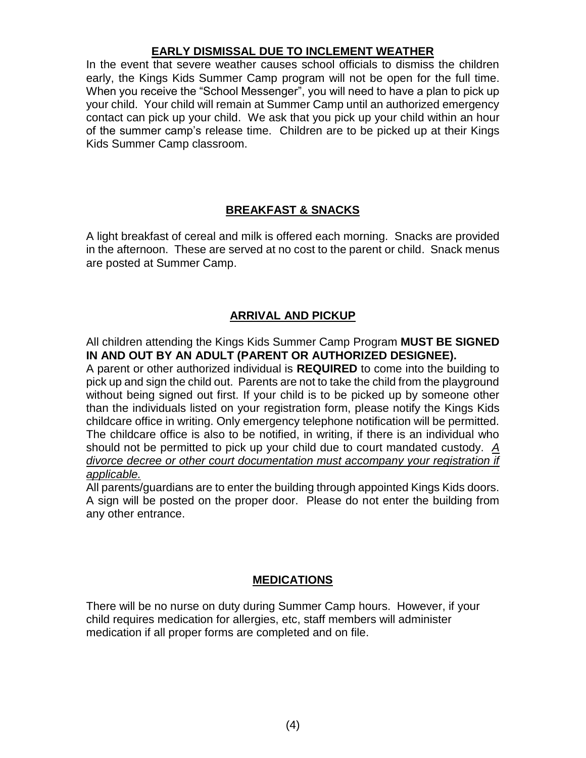# **EARLY DISMISSAL DUE TO INCLEMENT WEATHER**

In the event that severe weather causes school officials to dismiss the children early, the Kings Kids Summer Camp program will not be open for the full time. When you receive the "School Messenger", you will need to have a plan to pick up your child. Your child will remain at Summer Camp until an authorized emergency contact can pick up your child. We ask that you pick up your child within an hour of the summer camp's release time. Children are to be picked up at their Kings Kids Summer Camp classroom.

# **BREAKFAST & SNACKS**

A light breakfast of cereal and milk is offered each morning. Snacks are provided in the afternoon. These are served at no cost to the parent or child. Snack menus are posted at Summer Camp.

# **ARRIVAL AND PICKUP**

All children attending the Kings Kids Summer Camp Program **MUST BE SIGNED IN AND OUT BY AN ADULT (PARENT OR AUTHORIZED DESIGNEE).**

A parent or other authorized individual is **REQUIRED** to come into the building to pick up and sign the child out. Parents are not to take the child from the playground without being signed out first. If your child is to be picked up by someone other than the individuals listed on your registration form, please notify the Kings Kids childcare office in writing. Only emergency telephone notification will be permitted. The childcare office is also to be notified, in writing, if there is an individual who should not be permitted to pick up your child due to court mandated custody. *A divorce decree or other court documentation must accompany your registration if applicable.*

All parents/guardians are to enter the building through appointed Kings Kids doors. A sign will be posted on the proper door. Please do not enter the building from any other entrance.

# **MEDICATIONS**

There will be no nurse on duty during Summer Camp hours. However, if your child requires medication for allergies, etc, staff members will administer medication if all proper forms are completed and on file.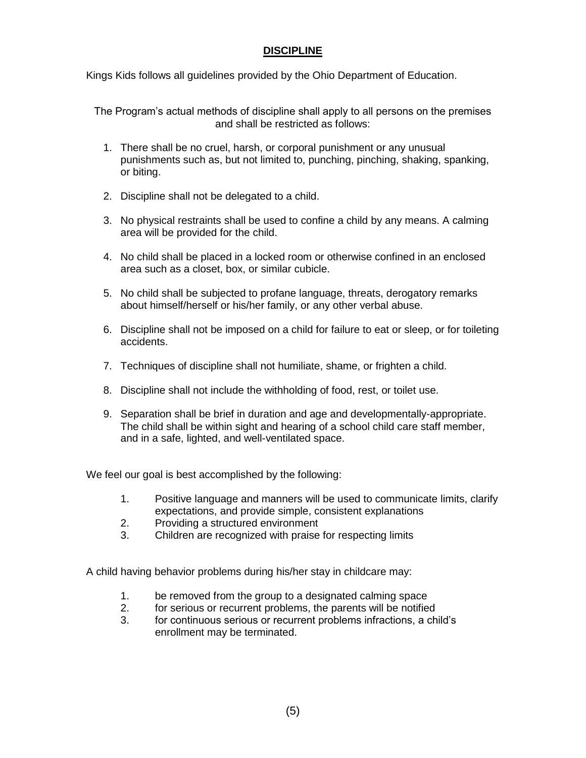# **DISCIPLINE**

Kings Kids follows all guidelines provided by the Ohio Department of Education.

The Program's actual methods of discipline shall apply to all persons on the premises and shall be restricted as follows:

- 1. There shall be no cruel, harsh, or corporal punishment or any unusual punishments such as, but not limited to, punching, pinching, shaking, spanking, or biting.
- 2. Discipline shall not be delegated to a child.
- 3. No physical restraints shall be used to confine a child by any means. A calming area will be provided for the child.
- 4. No child shall be placed in a locked room or otherwise confined in an enclosed area such as a closet, box, or similar cubicle.
- 5. No child shall be subjected to profane language, threats, derogatory remarks about himself/herself or his/her family, or any other verbal abuse.
- 6. Discipline shall not be imposed on a child for failure to eat or sleep, or for toileting accidents.
- 7. Techniques of discipline shall not humiliate, shame, or frighten a child.
- 8. Discipline shall not include the withholding of food, rest, or toilet use.
- 9. Separation shall be brief in duration and age and developmentally-appropriate. The child shall be within sight and hearing of a school child care staff member, and in a safe, lighted, and well-ventilated space.

We feel our goal is best accomplished by the following:

- 1. Positive language and manners will be used to communicate limits, clarify expectations, and provide simple, consistent explanations
- 2. Providing a structured environment
- 3. Children are recognized with praise for respecting limits

A child having behavior problems during his/her stay in childcare may:

- 1. be removed from the group to a designated calming space
- 2. for serious or recurrent problems, the parents will be notified
- 3. for continuous serious or recurrent problems infractions, a child's enrollment may be terminated.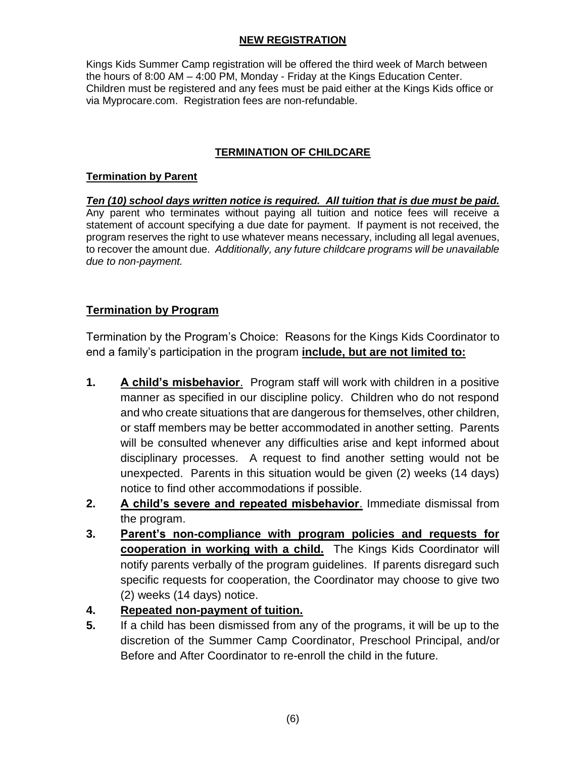## **NEW REGISTRATION**

Kings Kids Summer Camp registration will be offered the third week of March between the hours of 8:00 AM – 4:00 PM, Monday - Friday at the Kings Education Center. Children must be registered and any fees must be paid either at the Kings Kids office or via Myprocare.com. Registration fees are non-refundable.

# **TERMINATION OF CHILDCARE**

# **Termination by Parent**

*Ten (10) school days written notice is required. All tuition that is due must be paid.* Any parent who terminates without paying all tuition and notice fees will receive a statement of account specifying a due date for payment. If payment is not received, the program reserves the right to use whatever means necessary, including all legal avenues, to recover the amount due. *Additionally, any future childcare programs will be unavailable due to non-payment.*

# **Termination by Program**

Termination by the Program's Choice: Reasons for the Kings Kids Coordinator to end a family's participation in the program **include, but are not limited to:**

- **1. A child's misbehavior**. Program staff will work with children in a positive manner as specified in our discipline policy. Children who do not respond and who create situations that are dangerous for themselves, other children, or staff members may be better accommodated in another setting. Parents will be consulted whenever any difficulties arise and kept informed about disciplinary processes. A request to find another setting would not be unexpected. Parents in this situation would be given (2) weeks (14 days) notice to find other accommodations if possible.
- **2. A child's severe and repeated misbehavior**. Immediate dismissal from the program.
- **3. Parent's non-compliance with program policies and requests for cooperation in working with a child.** The Kings Kids Coordinator will notify parents verbally of the program guidelines. If parents disregard such specific requests for cooperation, the Coordinator may choose to give two (2) weeks (14 days) notice.
- **4. Repeated non-payment of tuition.**
- **5.** If a child has been dismissed from any of the programs, it will be up to the discretion of the Summer Camp Coordinator, Preschool Principal, and/or Before and After Coordinator to re-enroll the child in the future.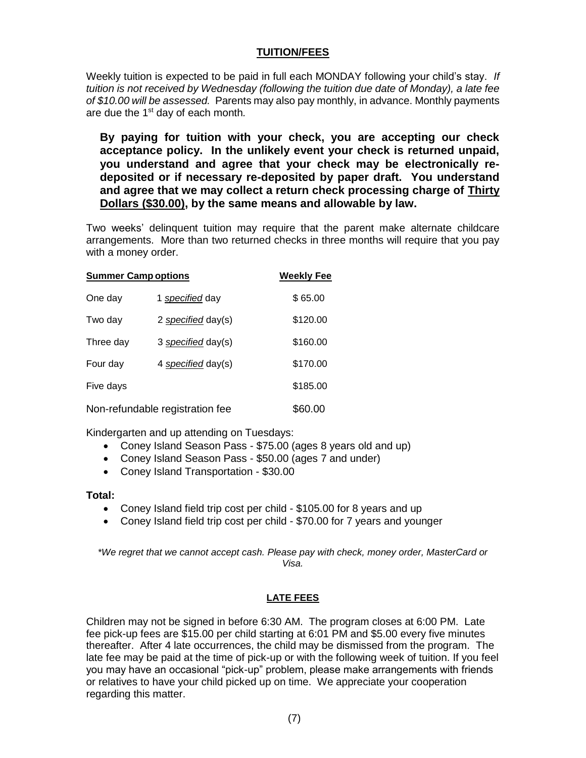#### **TUITION/FEES**

Weekly tuition is expected to be paid in full each MONDAY following your child's stay. *If tuition is not received by Wednesday (following the tuition due date of Monday), a late fee of \$10.00 will be assessed.* Parents may also pay monthly, in advance. Monthly payments are due the 1st day of each month*.* 

**By paying for tuition with your check, you are accepting our check acceptance policy. In the unlikely event your check is returned unpaid, you understand and agree that your check may be electronically redeposited or if necessary re-deposited by paper draft. You understand and agree that we may collect a return check processing charge of Thirty Dollars (\$30.00), by the same means and allowable by law.**

Two weeks' delinquent tuition may require that the parent make alternate childcare arrangements. More than two returned checks in three months will require that you pay with a money order.

| <b>Summer Camp options</b>      |                    | <b>Weekly Fee</b> |
|---------------------------------|--------------------|-------------------|
| One day                         | 1 specified day    | \$65.00           |
| Two day                         | 2 specified day(s) | \$120.00          |
| Three day                       | 3 specified day(s) | \$160.00          |
| Four day                        | 4 specified day(s) | \$170.00          |
| Five days                       |                    | \$185.00          |
| Non-refundable registration fee |                    | \$60.00           |

Kindergarten and up attending on Tuesdays:

- Coney Island Season Pass \$75.00 (ages 8 years old and up)
- Coney Island Season Pass \$50.00 (ages 7 and under)
- Coney Island Transportation \$30.00

#### **Total:**

- Coney Island field trip cost per child \$105.00 for 8 years and up
- Coney Island field trip cost per child \$70.00 for 7 years and younger

*\*We regret that we cannot accept cash. Please pay with check, money order, MasterCard or Visa.*

#### **LATE FEES**

Children may not be signed in before 6:30 AM. The program closes at 6:00 PM. Late fee pick-up fees are \$15.00 per child starting at 6:01 PM and \$5.00 every five minutes thereafter. After 4 late occurrences, the child may be dismissed from the program. The late fee may be paid at the time of pick-up or with the following week of tuition. If you feel you may have an occasional "pick-up" problem, please make arrangements with friends or relatives to have your child picked up on time. We appreciate your cooperation regarding this matter.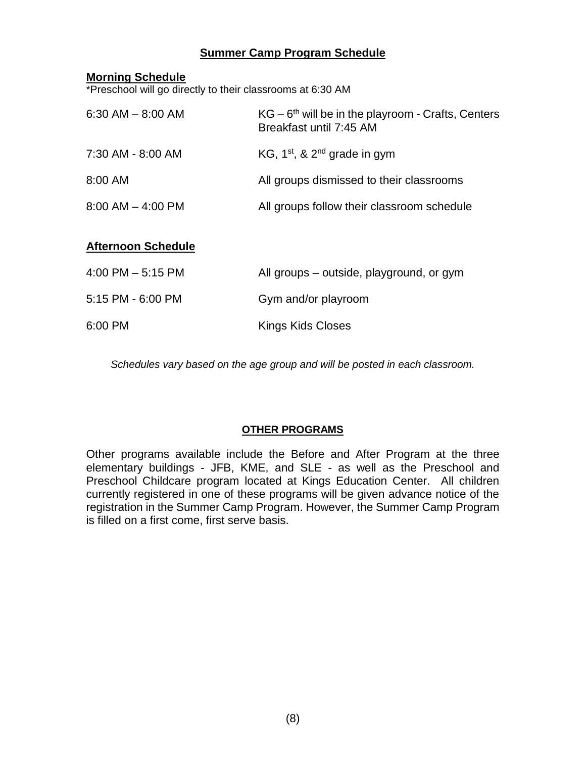# **Summer Camp Program Schedule**

#### **Morning Schedule**

\*Preschool will go directly to their classrooms at 6:30 AM

| $6:30$ AM $-8:00$ AM  | $KG - 6th$ will be in the playroom - Crafts, Centers<br>Breakfast until 7:45 AM |
|-----------------------|---------------------------------------------------------------------------------|
| 7:30 AM - 8:00 AM     | KG, $1^{st}$ , & $2^{nd}$ grade in gym                                          |
| 8:00 AM               | All groups dismissed to their classrooms                                        |
| $8:00$ AM $-$ 4:00 PM | All groups follow their classroom schedule                                      |

## **Afternoon Schedule**

| 4:00 PM $-$ 5:15 PM | All groups – outside, playground, or gym |
|---------------------|------------------------------------------|
| 5:15 PM - 6:00 PM   | Gym and/or playroom                      |
| 6:00 PM             | Kings Kids Closes                        |

*Schedules vary based on the age group and will be posted in each classroom.*

# **OTHER PROGRAMS**

Other programs available include the Before and After Program at the three elementary buildings - JFB, KME, and SLE - as well as the Preschool and Preschool Childcare program located at Kings Education Center. All children currently registered in one of these programs will be given advance notice of the registration in the Summer Camp Program. However, the Summer Camp Program is filled on a first come, first serve basis.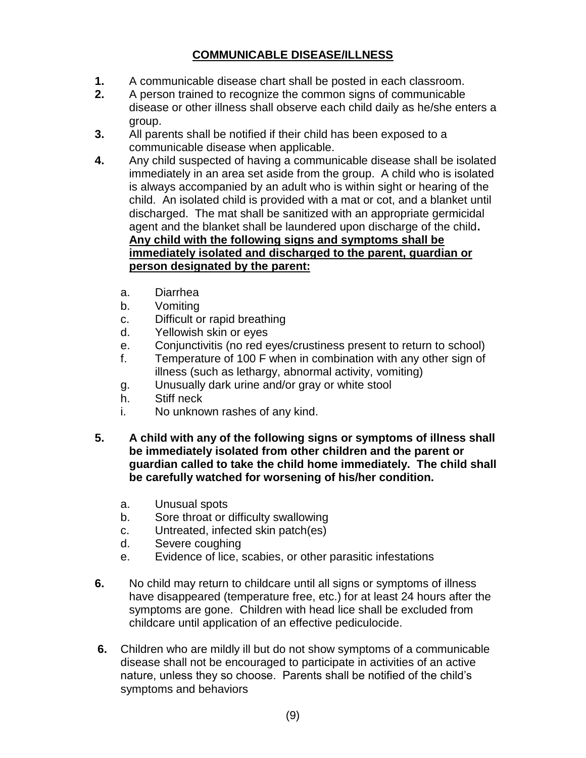# **COMMUNICABLE DISEASE/ILLNESS**

- **1.** A communicable disease chart shall be posted in each classroom.
- **2.** A person trained to recognize the common signs of communicable disease or other illness shall observe each child daily as he/she enters a group.
- **3.** All parents shall be notified if their child has been exposed to a communicable disease when applicable.
- **4.** Any child suspected of having a communicable disease shall be isolated immediately in an area set aside from the group. A child who is isolated is always accompanied by an adult who is within sight or hearing of the child. An isolated child is provided with a mat or cot, and a blanket until discharged. The mat shall be sanitized with an appropriate germicidal agent and the blanket shall be laundered upon discharge of the child**. Any child with the following signs and symptoms shall be immediately isolated and discharged to the parent, guardian or person designated by the parent:**
	- a. Diarrhea
	- b. Vomiting
	- c. Difficult or rapid breathing
	- d. Yellowish skin or eyes
	- e. Conjunctivitis (no red eyes/crustiness present to return to school)
	- f. Temperature of 100 F when in combination with any other sign of illness (such as lethargy, abnormal activity, vomiting)
	- g. Unusually dark urine and/or gray or white stool
	- h. Stiff neck
	- i. No unknown rashes of any kind.
- **5. A child with any of the following signs or symptoms of illness shall be immediately isolated from other children and the parent or guardian called to take the child home immediately. The child shall be carefully watched for worsening of his/her condition.**
	- a. Unusual spots
	- b. Sore throat or difficulty swallowing
	- c. Untreated, infected skin patch(es)
	- d. Severe coughing
	- e. Evidence of lice, scabies, or other parasitic infestations
- **6.** No child may return to childcare until all signs or symptoms of illness have disappeared (temperature free, etc.) for at least 24 hours after the symptoms are gone. Children with head lice shall be excluded from childcare until application of an effective pediculocide.
- **6.** Children who are mildly ill but do not show symptoms of a communicable disease shall not be encouraged to participate in activities of an active nature, unless they so choose. Parents shall be notified of the child's symptoms and behaviors